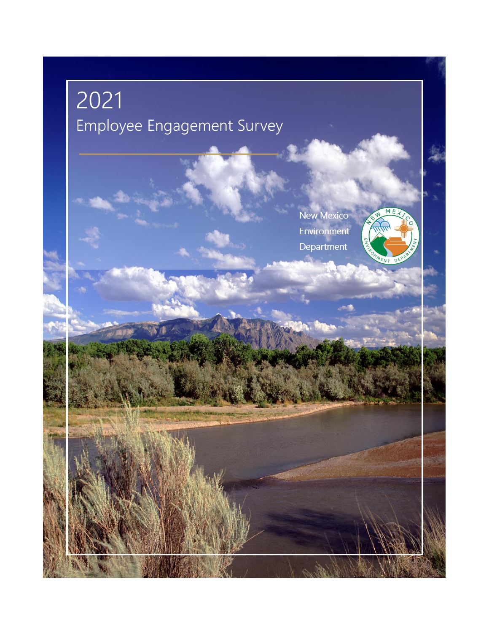# $2021$ Employee Engagement Survey

**New Mexico** Environment Department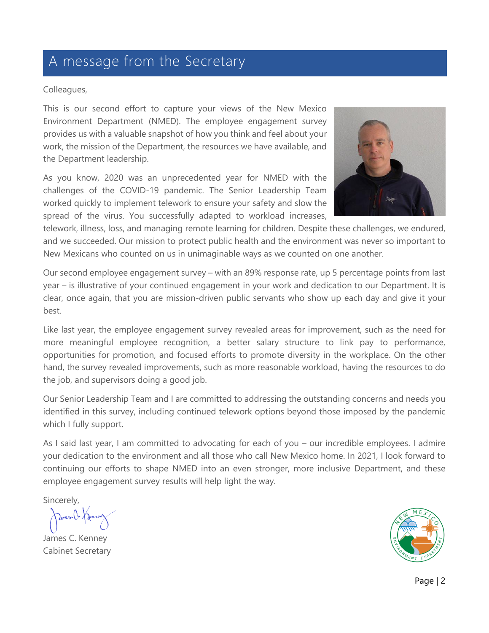### A message from the Secretary

#### Colleagues,

This is our second effort to capture your views of the New Mexico Environment Department (NMED). The employee engagement survey provides us with a valuable snapshot of how you think and feel about your work, the mission of the Department, the resources we have available, and the Department leadership.

As you know, 2020 was an unprecedented year for NMED with the challenges of the COVID-19 pandemic. The Senior Leadership Team worked quickly to implement telework to ensure your safety and slow the spread of the virus. You successfully adapted to workload increases,



telework, illness, loss, and managing remote learning for children. Despite these challenges, we endured, and we succeeded. Our mission to protect public health and the environment was never so important to New Mexicans who counted on us in unimaginable ways as we counted on one another.

Our second employee engagement survey – with an 89% response rate, up 5 percentage points from last year – is illustrative of your continued engagement in your work and dedication to our Department. It is clear, once again, that you are mission-driven public servants who show up each day and give it your best.

Like last year, the employee engagement survey revealed areas for improvement, such as the need for more meaningful employee recognition, a better salary structure to link pay to performance, opportunities for promotion, and focused efforts to promote diversity in the workplace. On the other hand, the survey revealed improvements, such as more reasonable workload, having the resources to do the job, and supervisors doing a good job.

Our Senior Leadership Team and I are committed to addressing the outstanding concerns and needs you identified in this survey, including continued telework options beyond those imposed by the pandemic which I fully support.

As I said last year, I am committed to advocating for each of you – our incredible employees. I admire your dedication to the environment and all those who call New Mexico home. In 2021, I look forward to continuing our efforts to shape NMED into an even stronger, more inclusive Department, and these employee engagement survey results will help light the way.

Sincerely,

Javen V. Fr

James C. Kenney Cabinet Secretary

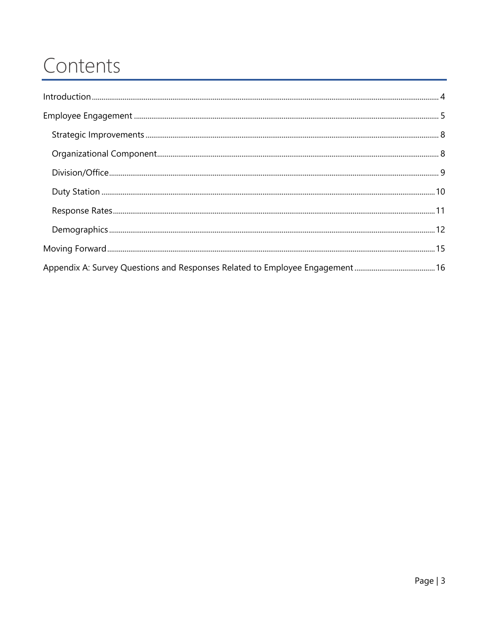### Contents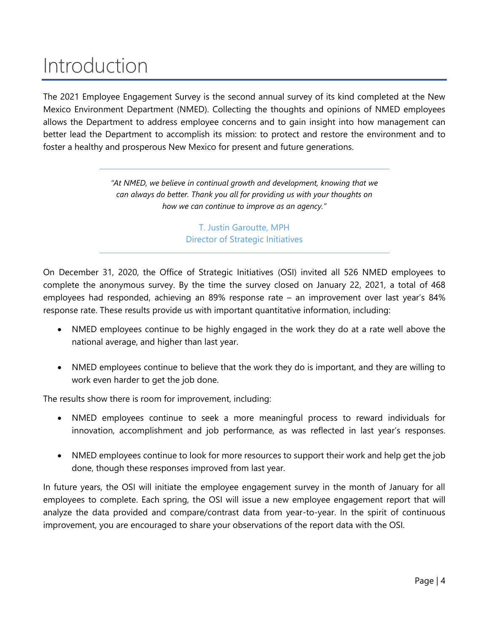### <span id="page-3-0"></span>Introduction

The 2021 Employee Engagement Survey is the second annual survey of its kind completed at the New Mexico Environment Department (NMED). Collecting the thoughts and opinions of NMED employees allows the Department to address employee concerns and to gain insight into how management can better lead the Department to accomplish its mission: to protect and restore the environment and to foster a healthy and prosperous New Mexico for present and future generations.

> *"At NMED, we believe in continual growth and development, knowing that we can always do better. Thank you all for providing us with your thoughts on how we can continue to improve as an agency."*

> > T. Justin Garoutte, MPH Director of Strategic Initiatives

On December 31, 2020, the Office of Strategic Initiatives (OSI) invited all 526 NMED employees to complete the anonymous survey. By the time the survey closed on January 22, 2021, a total of 468 employees had responded, achieving an 89% response rate – an improvement over last year's 84% response rate. These results provide us with important quantitative information, including:

- NMED employees continue to be highly engaged in the work they do at a rate well above the national average, and higher than last year.
- NMED employees continue to believe that the work they do is important, and they are willing to work even harder to get the job done.

The results show there is room for improvement, including:

- NMED employees continue to seek a more meaningful process to reward individuals for innovation, accomplishment and job performance, as was reflected in last year's responses.
- NMED employees continue to look for more resources to support their work and help get the job done, though these responses improved from last year.

In future years, the OSI will initiate the employee engagement survey in the month of January for all employees to complete. Each spring, the OSI will issue a new employee engagement report that will analyze the data provided and compare/contrast data from year-to-year. In the spirit of continuous improvement, you are encouraged to share your observations of the report data with the OSI.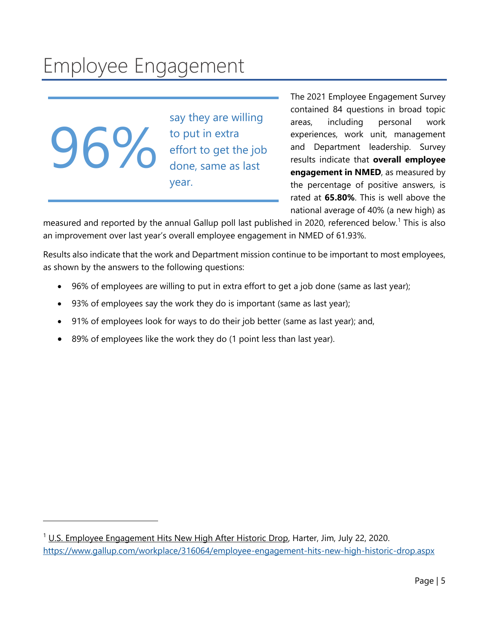## <span id="page-4-0"></span>Employee Engagement

 $6\%$ 

say they are willing to put in extra effort to get the job done, same as last year.

The 2021 Employee Engagement Survey contained 84 questions in broad topic areas, including personal work experiences, work unit, management and Department leadership. Survey results indicate that **overall employee engagement in NMED**, as measured by the percentage of positive answers, is rated at **65.80%**. This is well above the national average of 40% (a new high) as

measured and reported by the annual Gallup poll last published in 2020, referenced below.<sup>1</sup> This is also an improvement over last year's overall employee engagement in NMED of 61.93%.

Results also indicate that the work and Department mission continue to be important to most employees, as shown by the answers to the following questions:

- 96% of employees are willing to put in extra effort to get a job done (same as last year);
- 93% of employees say the work they do is important (same as last year);
- 91% of employees look for ways to do their job better (same as last year); and,
- 89% of employees like the work they do (1 point less than last year).

<sup>&</sup>lt;sup>1</sup> U.S. Employee Engagement Hits New High After Historic Drop, Harter, Jim, July 22, 2020. https://www.gallup.com/workplace/316064/employee-engagement-hits-new-high-historic-drop.aspx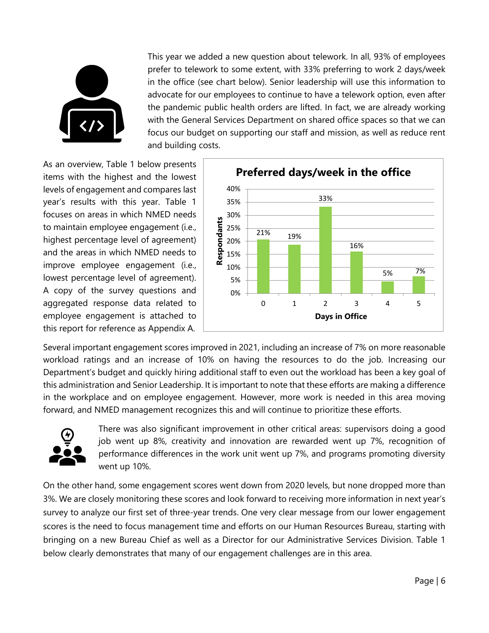

This year we added a new question about telework. In all, 93% of employees prefer to telework to some extent, with 33% preferring to work 2 days/week in the office (see chart below). Senior leadership will use this information to advocate for our employees to continue to have a telework option, even after the pandemic public health orders are lifted. In fact, we are already working with the General Services Department on shared office spaces so that we can focus our budget on supporting our staff and mission, as well as reduce rent and building costs.

As an overview, Table 1 below presents items with the highest and the lowest levels of engagement and compares last year's results with this year. Table 1 focuses on areas in which NMED needs to maintain employee engagement (i.e., highest percentage level of agreement) and the areas in which NMED needs to improve employee engagement (i.e., lowest percentage level of agreement). A copy of the survey questions and aggregated response data related to employee engagement is attached to this report for reference as Appendix A.



Several important engagement scores improved in 2021, including an increase of 7% on more reasonable workload ratings and an increase of 10% on having the resources to do the job. Increasing our Department's budget and quickly hiring additional staff to even out the workload has been a key goal of this administration and Senior Leadership. It is important to note that these efforts are making a difference in the workplace and on employee engagement. However, more work is needed in this area moving forward, and NMED management recognizes this and will continue to prioritize these efforts.



There was also significant improvement in other critical areas: supervisors doing a good job went up 8%, creativity and innovation are rewarded went up 7%, recognition of performance differences in the work unit went up 7%, and programs promoting diversity went up 10%.

On the other hand, some engagement scores went down from 2020 levels, but none dropped more than 3%. We are closely monitoring these scores and look forward to receiving more information in next year's survey to analyze our first set of three-year trends. One very clear message from our lower engagement scores is the need to focus management time and efforts on our Human Resources Bureau, starting with bringing on a new Bureau Chief as well as a Director for our Administrative Services Division. Table 1 below clearly demonstrates that many of our engagement challenges are in this area.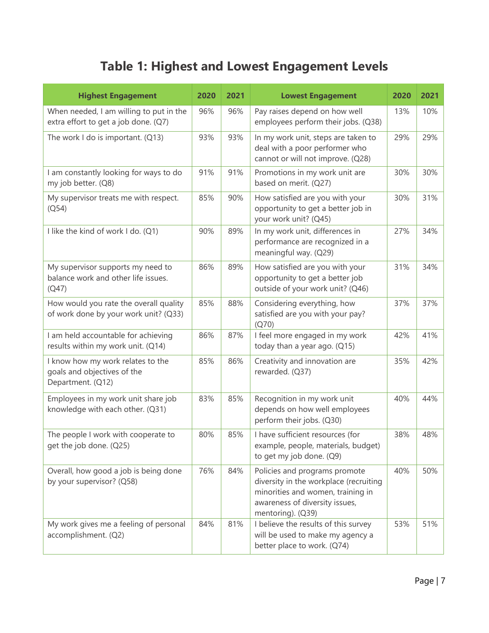### **Table 1: Highest and Lowest Engagement Levels**

| <b>Highest Engagement</b>                                                             | 2020 | 2021 | <b>Lowest Engagement</b>                                                                                                                                            | 2020 | 2021 |
|---------------------------------------------------------------------------------------|------|------|---------------------------------------------------------------------------------------------------------------------------------------------------------------------|------|------|
| When needed, I am willing to put in the<br>extra effort to get a job done. (Q7)       | 96%  | 96%  | Pay raises depend on how well<br>employees perform their jobs. (Q38)                                                                                                | 13%  | 10%  |
| The work I do is important. (Q13)                                                     | 93%  | 93%  | In my work unit, steps are taken to<br>deal with a poor performer who<br>cannot or will not improve. (Q28)                                                          | 29%  | 29%  |
| I am constantly looking for ways to do<br>my job better. (Q8)                         | 91%  | 91%  | Promotions in my work unit are<br>based on merit. (Q27)                                                                                                             | 30%  | 30%  |
| My supervisor treats me with respect.<br>(Q54)                                        | 85%  | 90%  | How satisfied are you with your<br>opportunity to get a better job in<br>your work unit? (Q45)                                                                      | 30%  | 31%  |
| I like the kind of work I do. (Q1)                                                    | 90%  | 89%  | In my work unit, differences in<br>performance are recognized in a<br>meaningful way. (Q29)                                                                         | 27%  | 34%  |
| My supervisor supports my need to<br>balance work and other life issues.<br>(Q47)     | 86%  | 89%  | How satisfied are you with your<br>opportunity to get a better job<br>outside of your work unit? (Q46)                                                              | 31%  | 34%  |
| How would you rate the overall quality<br>of work done by your work unit? (Q33)       | 85%  | 88%  | Considering everything, how<br>satisfied are you with your pay?<br>(Q70)                                                                                            | 37%  | 37%  |
| I am held accountable for achieving<br>results within my work unit. (Q14)             | 86%  | 87%  | I feel more engaged in my work<br>today than a year ago. (Q15)                                                                                                      | 42%  | 41%  |
| I know how my work relates to the<br>goals and objectives of the<br>Department. (Q12) | 85%  | 86%  | Creativity and innovation are<br>rewarded. (Q37)                                                                                                                    | 35%  | 42%  |
| Employees in my work unit share job<br>knowledge with each other. (Q31)               | 83%  | 85%  | Recognition in my work unit<br>depends on how well employees<br>perform their jobs. (Q30)                                                                           | 40%  | 44%  |
| The people I work with cooperate to<br>get the job done. (Q25)                        | 80%  | 85%  | I have sufficient resources (for<br>example, people, materials, budget)<br>to get my job done. (Q9)                                                                 | 38%  | 48%  |
| Overall, how good a job is being done<br>by your supervisor? (Q58)                    | 76%  | 84%  | Policies and programs promote<br>diversity in the workplace (recruiting<br>minorities and women, training in<br>awareness of diversity issues,<br>mentoring). (Q39) | 40%  | 50%  |
| My work gives me a feeling of personal<br>accomplishment. (Q2)                        | 84%  | 81%  | I believe the results of this survey<br>will be used to make my agency a<br>better place to work. (Q74)                                                             | 53%  | 51%  |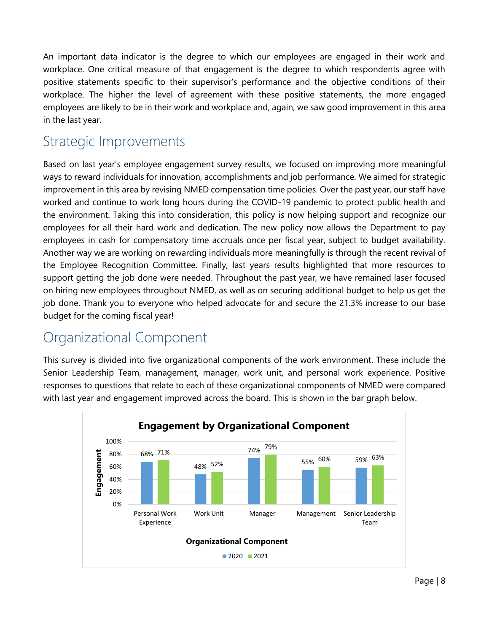An important data indicator is the degree to which our employees are engaged in their work and workplace. One critical measure of that engagement is the degree to which respondents agree with positive statements specific to their supervisor's performance and the objective conditions of their workplace. The higher the level of agreement with these positive statements, the more engaged employees are likely to be in their work and workplace and, again, we saw good improvement in this area in the last year.

#### <span id="page-7-0"></span>Strategic Improvements

Based on last year's employee engagement survey results, we focused on improving more meaningful ways to reward individuals for innovation, accomplishments and job performance. We aimed for strategic improvement in this area by revising NMED compensation time policies. Over the past year, our staff have worked and continue to work long hours during the COVID-19 pandemic to protect public health and the environment. Taking this into consideration, this policy is now helping support and recognize our employees for all their hard work and dedication. The new policy now allows the Department to pay employees in cash for compensatory time accruals once per fiscal year, subject to budget availability. Another way we are working on rewarding individuals more meaningfully is through the recent revival of the Employee Recognition Committee. Finally, last years results highlighted that more resources to support getting the job done were needed. Throughout the past year, we have remained laser focused on hiring new employees throughout NMED, as well as on securing additional budget to help us get the job done. Thank you to everyone who helped advocate for and secure the 21.3% increase to our base budget for the coming fiscal year!

#### <span id="page-7-1"></span>Organizational Component

This survey is divided into five organizational components of the work environment. These include the Senior Leadership Team, management, manager, work unit, and personal work experience. Positive responses to questions that relate to each of these organizational components of NMED were compared with last year and engagement improved across the board. This is shown in the bar graph below.

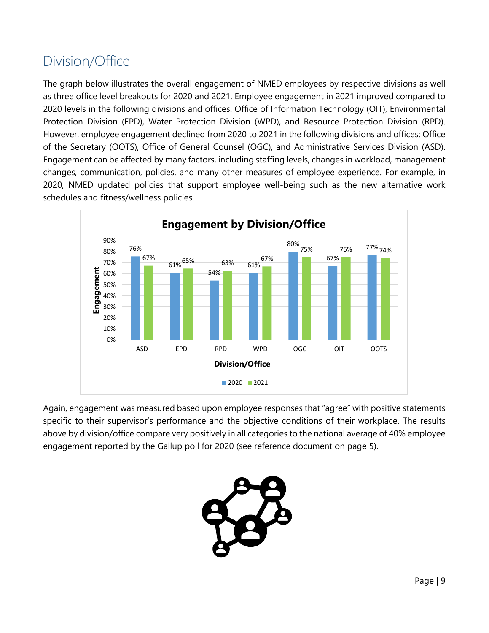### <span id="page-8-0"></span>Division/Office

The graph below illustrates the overall engagement of NMED employees by respective divisions as well as three office level breakouts for 2020 and 2021. Employee engagement in 2021 improved compared to 2020 levels in the following divisions and offices: Office of Information Technology (OIT), Environmental Protection Division (EPD), Water Protection Division (WPD), and Resource Protection Division (RPD). However, employee engagement declined from 2020 to 2021 in the following divisions and offices: Office of the Secretary (OOTS), Office of General Counsel (OGC), and Administrative Services Division (ASD). Engagement can be affected by many factors, including staffing levels, changes in workload, management changes, communication, policies, and many other measures of employee experience. For example, in 2020, NMED updated policies that support employee well-being such as the new alternative work schedules and fitness/wellness policies.



Again, engagement was measured based upon employee responses that "agree" with positive statements specific to their supervisor's performance and the objective conditions of their workplace. The results above by division/office compare very positively in all categories to the national average of 40% employee engagement reported by the Gallup poll for 2020 (see reference document on page 5).

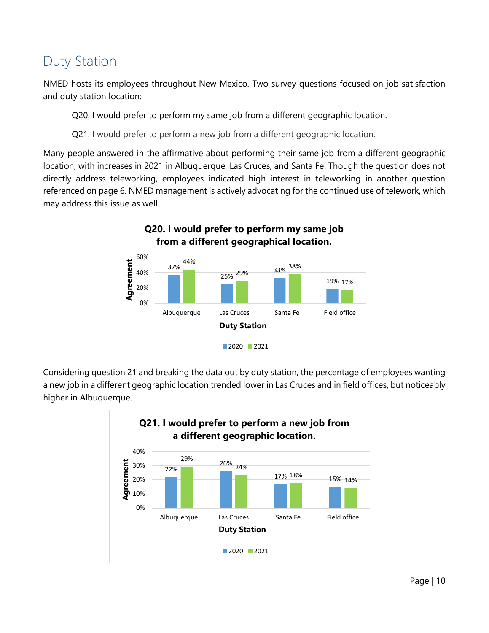### <span id="page-9-0"></span>Duty Station

NMED hosts its employees throughout New Mexico. Two survey questions focused on job satisfaction and duty station location:

Q20. I would prefer to perform my same job from a different geographic location.

Q21. I would prefer to perform a new job from a different geographic location.

Many people answered in the affirmative about performing their same job from a different geographic location, with increases in 2021 in Albuquerque, Las Cruces, and Santa Fe. Though the question does not directly address teleworking, employees indicated high interest in teleworking in another question referenced on page 6. NMED management is actively advocating for the continued use of telework, which may address this issue as well.



Considering question 21 and breaking the data out by duty station, the percentage of employees wanting a new job in a different geographic location trended lower in Las Cruces and in field offices, but noticeably higher in Albuquerque.

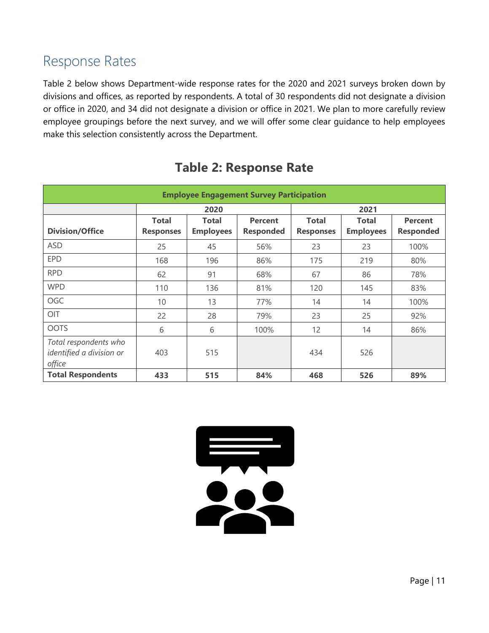#### <span id="page-10-0"></span>Response Rates

Table 2 below shows Department-wide response rates for the 2020 and 2021 surveys broken down by divisions and offices, as reported by respondents. A total of 30 respondents did not designate a division or office in 2020, and 34 did not designate a division or office in 2021. We plan to more carefully review employee groupings before the next survey, and we will offer some clear guidance to help employees make this selection consistently across the Department.

| <b>Employee Engagement Survey Participation</b>             |                  |                  |                  |                  |                  |                  |  |  |
|-------------------------------------------------------------|------------------|------------------|------------------|------------------|------------------|------------------|--|--|
|                                                             |                  | 2020             |                  |                  |                  |                  |  |  |
|                                                             | <b>Total</b>     | Total            | <b>Percent</b>   | <b>Total</b>     | <b>Total</b>     | <b>Percent</b>   |  |  |
| <b>Division/Office</b>                                      | <b>Responses</b> | <b>Employees</b> | <b>Responded</b> | <b>Responses</b> | <b>Employees</b> | <b>Responded</b> |  |  |
| <b>ASD</b>                                                  | 25               | 45               | 56%              | 23               | 23               | 100%             |  |  |
| <b>EPD</b>                                                  | 168              | 196              | 86%              | 175              | 219              | 80%              |  |  |
| <b>RPD</b>                                                  | 62               | 91               | 68%              | 67               | 86               | 78%              |  |  |
| <b>WPD</b>                                                  | 110              | 136              | 81%              | 120              | 145              | 83%              |  |  |
| OGC                                                         | 10               | 13               | 77%              | 14               | 14               | 100%             |  |  |
| OIT                                                         | 22               | 28               | 79%              | 23               | 25               | 92%              |  |  |
| <b>OOTS</b>                                                 | 6                | 6                | 100%             | 12               | 14               | 86%              |  |  |
| Total respondents who<br>identified a division or<br>office | 403              | 515              |                  | 434              | 526              |                  |  |  |
| <b>Total Respondents</b>                                    | 433              | 515              | 84%              | 468              | 526              | 89%              |  |  |

#### **Table 2: Response Rate**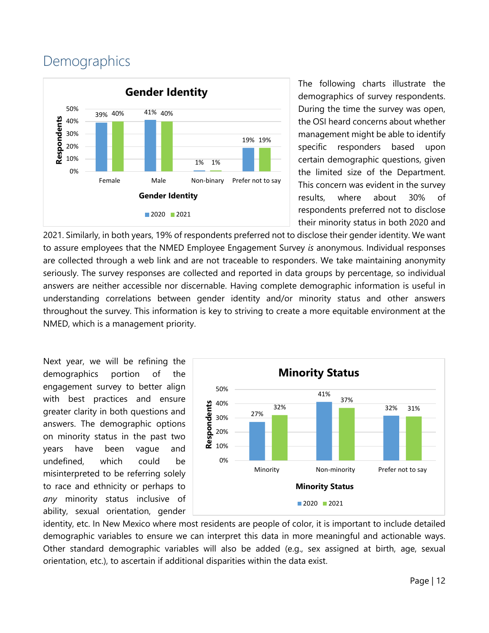#### <span id="page-11-0"></span>**Demographics**



The following charts illustrate the demographics of survey respondents. During the time the survey was open, the OSI heard concerns about whether management might be able to identify specific responders based upon certain demographic questions, given the limited size of the Department. This concern was evident in the survey results, where about 30% of respondents preferred not to disclose their minority status in both 2020 and

2021. Similarly, in both years, 19% of respondents preferred not to disclose their gender identity. We want to assure employees that the NMED Employee Engagement Survey *is* anonymous. Individual responses are collected through a web link and are not traceable to responders. We take maintaining anonymity seriously. The survey responses are collected and reported in data groups by percentage, so individual answers are neither accessible nor discernable. Having complete demographic information is useful in understanding correlations between gender identity and/or minority status and other answers throughout the survey. This information is key to striving to create a more equitable environment at the NMED, which is a management priority.

Next year, we will be refining the demographics portion of the engagement survey to better align with best practices and ensure greater clarity in both questions and answers. The demographic options on minority status in the past two years have been vague and undefined, which could be misinterpreted to be referring solely to race and ethnicity or perhaps to *any* minority status inclusive of ability, sexual orientation, gender



identity, etc. In New Mexico where most residents are people of color, it is important to include detailed demographic variables to ensure we can interpret this data in more meaningful and actionable ways. Other standard demographic variables will also be added (e.g., sex assigned at birth, age, sexual orientation, etc.), to ascertain if additional disparities within the data exist.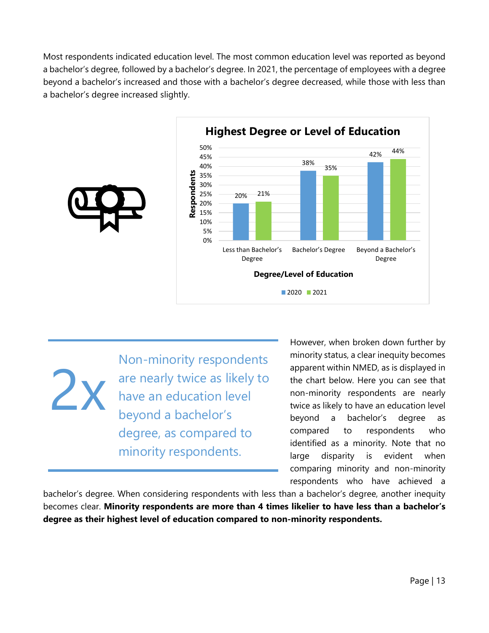Most respondents indicated education level. The most common education level was reported as beyond a bachelor's degree, followed by a bachelor's degree. In 2021, the percentage of employees with a degree beyond a bachelor's increased and those with a bachelor's degree decreased, while those with less than a bachelor's degree increased slightly.



2x Non-minority respondents are nearly twice as likely to have an education level beyond a bachelor's degree, as compared to minority respondents.

However, when broken down further by minority status, a clear inequity becomes apparent within NMED, as is displayed in the chart below. Here you can see that non-minority respondents are nearly twice as likely to have an education level beyond a bachelor's degree as compared to respondents who identified as a minority. Note that no large disparity is evident when comparing minority and non-minority respondents who have achieved a

bachelor's degree. When considering respondents with less than a bachelor's degree, another inequity becomes clear. **Minority respondents are more than 4 times likelier to have less than a bachelor's degree as their highest level of education compared to non-minority respondents.**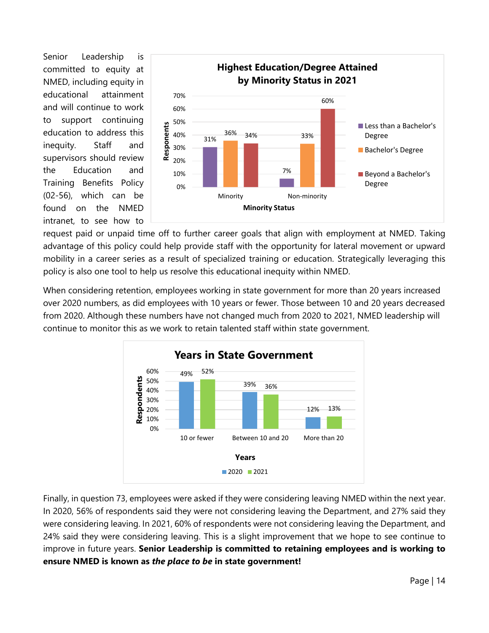Senior Leadership is committed to equity at NMED, including equity in educational attainment and will continue to work to support continuing education to address this inequity. Staff and supervisors should review the Education and Training Benefits Policy (02-56), which can be found on the NMED intranet, to see how to



request paid or unpaid time off to further career goals that align with employment at NMED. Taking advantage of this policy could help provide staff with the opportunity for lateral movement or upward mobility in a career series as a result of specialized training or education. Strategically leveraging this policy is also one tool to help us resolve this educational inequity within NMED.

When considering retention, employees working in state government for more than 20 years increased over 2020 numbers, as did employees with 10 years or fewer. Those between 10 and 20 years decreased from 2020. Although these numbers have not changed much from 2020 to 2021, NMED leadership will continue to monitor this as we work to retain talented staff within state government.



Finally, in question 73, employees were asked if they were considering leaving NMED within the next year. In 2020, 56% of respondents said they were not considering leaving the Department, and 27% said they were considering leaving. In 2021, 60% of respondents were not considering leaving the Department, and 24% said they were considering leaving. This is a slight improvement that we hope to see continue to improve in future years. **Senior Leadership is committed to retaining employees and is working to ensure NMED is known as** *the place to be* **in state government!**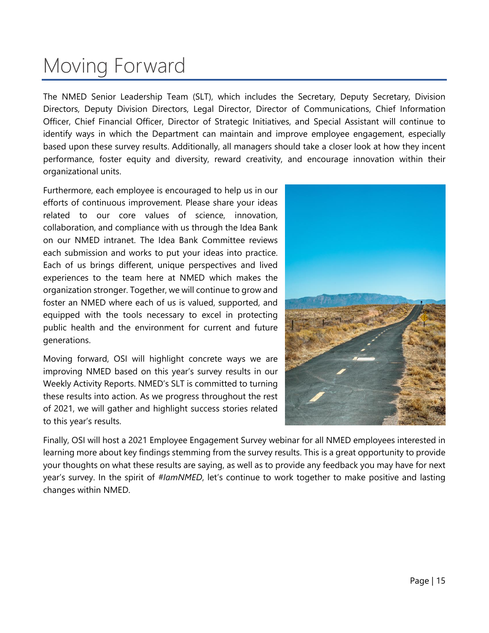### <span id="page-14-0"></span>Moving Forward

The NMED Senior Leadership Team (SLT), which includes the Secretary, Deputy Secretary, Division Directors, Deputy Division Directors, Legal Director, Director of Communications, Chief Information Officer, Chief Financial Officer, Director of Strategic Initiatives, and Special Assistant will continue to identify ways in which the Department can maintain and improve employee engagement, especially based upon these survey results. Additionally, all managers should take a closer look at how they incent performance, foster equity and diversity, reward creativity, and encourage innovation within their organizational units.

Furthermore, each employee is encouraged to help us in our efforts of continuous improvement. Please share your ideas related to our core values of science, innovation, collaboration, and compliance with us through the Idea Bank on our NMED intranet. The Idea Bank Committee reviews each submission and works to put your ideas into practice. Each of us brings different, unique perspectives and lived experiences to the team here at NMED which makes the organization stronger. Together, we will continue to grow and foster an NMED where each of us is valued, supported, and equipped with the tools necessary to excel in protecting public health and the environment for current and future generations.

Moving forward, OSI will highlight concrete ways we are improving NMED based on this year's survey results in our Weekly Activity Reports. NMED's SLT is committed to turning these results into action. As we progress throughout the rest of 2021, we will gather and highlight success stories related to this year's results.



Finally, OSI will host a 2021 Employee Engagement Survey webinar for all NMED employees interested in learning more about key findings stemming from the survey results. This is a great opportunity to provide your thoughts on what these results are saying, as well as to provide any feedback you may have for next year's survey. In the spirit of *#IamNMED*, let's continue to work together to make positive and lasting changes within NMED.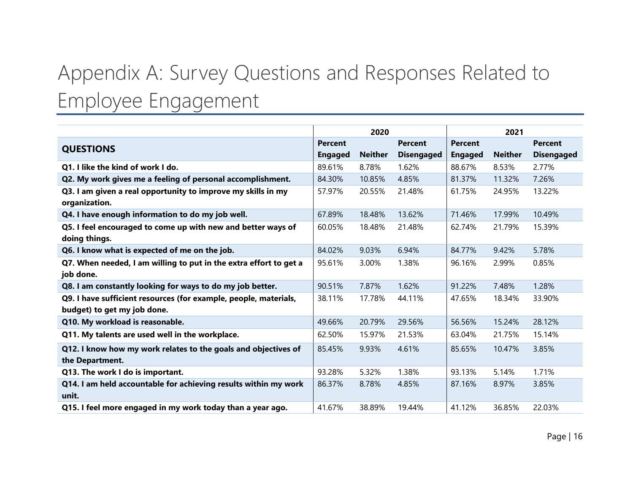# Appendix A: Survey Questions and Responses Related to Employee Engagement

<span id="page-15-0"></span>

|                                                                               |                | 2020           |                   | 2021           |                |                   |
|-------------------------------------------------------------------------------|----------------|----------------|-------------------|----------------|----------------|-------------------|
| <b>QUESTIONS</b>                                                              | <b>Percent</b> |                | <b>Percent</b>    | <b>Percent</b> |                | <b>Percent</b>    |
|                                                                               | <b>Engaged</b> | <b>Neither</b> | <b>Disengaged</b> | <b>Engaged</b> | <b>Neither</b> | <b>Disengaged</b> |
| Q1. I like the kind of work I do.                                             | 89.61%         | 8.78%          | 1.62%             | 88.67%         | 8.53%          | 2.77%             |
| Q2. My work gives me a feeling of personal accomplishment.                    | 84.30%         | 10.85%         | 4.85%             | 81.37%         | 11.32%         | 7.26%             |
| Q3. I am given a real opportunity to improve my skills in my<br>organization. | 57.97%         | 20.55%         | 21.48%            | 61.75%         | 24.95%         | 13.22%            |
| Q4. I have enough information to do my job well.                              | 67.89%         | 18.48%         | 13.62%            | 71.46%         | 17.99%         | 10.49%            |
| Q5. I feel encouraged to come up with new and better ways of                  | 60.05%         | 18.48%         | 21.48%            | 62.74%         | 21.79%         | 15.39%            |
| doing things.                                                                 |                |                |                   |                |                |                   |
| Q6. I know what is expected of me on the job.                                 | 84.02%         | 9.03%          | 6.94%             | 84.77%         | 9.42%          | 5.78%             |
| Q7. When needed, I am willing to put in the extra effort to get a             | 95.61%         | 3.00%          | 1.38%             | 96.16%         | 2.99%          | 0.85%             |
| job done.                                                                     |                |                |                   |                |                |                   |
| Q8. I am constantly looking for ways to do my job better.                     | 90.51%         | 7.87%          | 1.62%             | 91.22%         | 7.48%          | 1.28%             |
| Q9. I have sufficient resources (for example, people, materials,              | 38.11%         | 17.78%         | 44.11%            | 47.65%         | 18.34%         | 33.90%            |
| budget) to get my job done.                                                   |                |                |                   |                |                |                   |
| Q10. My workload is reasonable.                                               | 49.66%         | 20.79%         | 29.56%            | 56.56%         | 15.24%         | 28.12%            |
| Q11. My talents are used well in the workplace.                               | 62.50%         | 15.97%         | 21.53%            | 63.04%         | 21.75%         | 15.14%            |
| Q12. I know how my work relates to the goals and objectives of                | 85.45%         | 9.93%          | 4.61%             | 85.65%         | 10.47%         | 3.85%             |
| the Department.                                                               |                |                |                   |                |                |                   |
| Q13. The work I do is important.                                              | 93.28%         | 5.32%          | 1.38%             | 93.13%         | 5.14%          | 1.71%             |
| Q14. I am held accountable for achieving results within my work               | 86.37%         | 8.78%          | 4.85%             | 87.16%         | 8.97%          | 3.85%             |
| unit.                                                                         |                |                |                   |                |                |                   |
| Q15. I feel more engaged in my work today than a year ago.                    | 41.67%         | 38.89%         | 19.44%            | 41.12%         | 36.85%         | 22.03%            |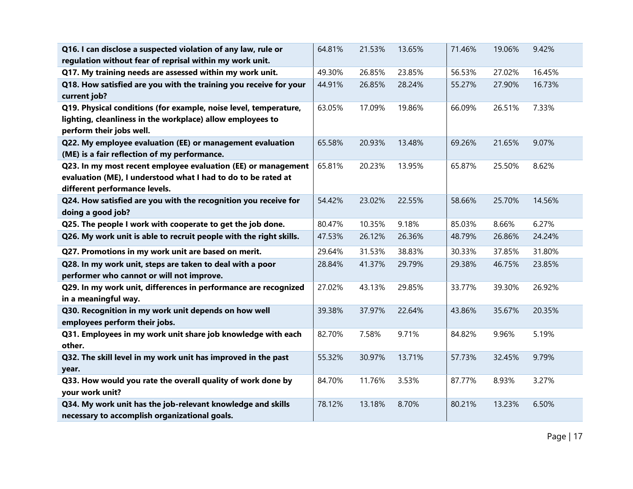| Q16. I can disclose a suspected violation of any law, rule or<br>regulation without fear of reprisal within my work unit.                                       | 64.81% | 21.53% | 13.65% | 71.46% | 19.06% | 9.42%  |
|-----------------------------------------------------------------------------------------------------------------------------------------------------------------|--------|--------|--------|--------|--------|--------|
| Q17. My training needs are assessed within my work unit.                                                                                                        | 49.30% | 26.85% | 23.85% | 56.53% | 27.02% | 16.45% |
| Q18. How satisfied are you with the training you receive for your<br>current job?                                                                               | 44.91% | 26.85% | 28.24% | 55.27% | 27.90% | 16.73% |
| Q19. Physical conditions (for example, noise level, temperature,<br>lighting, cleanliness in the workplace) allow employees to<br>perform their jobs well.      | 63.05% | 17.09% | 19.86% | 66.09% | 26.51% | 7.33%  |
| Q22. My employee evaluation (EE) or management evaluation<br>(ME) is a fair reflection of my performance.                                                       | 65.58% | 20.93% | 13.48% | 69.26% | 21.65% | 9.07%  |
| Q23. In my most recent employee evaluation (EE) or management<br>evaluation (ME), I understood what I had to do to be rated at<br>different performance levels. | 65.81% | 20.23% | 13.95% | 65.87% | 25.50% | 8.62%  |
| Q24. How satisfied are you with the recognition you receive for<br>doing a good job?                                                                            | 54.42% | 23.02% | 22.55% | 58.66% | 25.70% | 14.56% |
| Q25. The people I work with cooperate to get the job done.                                                                                                      | 80.47% | 10.35% | 9.18%  | 85.03% | 8.66%  | 6.27%  |
| Q26. My work unit is able to recruit people with the right skills.                                                                                              | 47.53% | 26.12% | 26.36% | 48.79% | 26.86% | 24.24% |
| Q27. Promotions in my work unit are based on merit.                                                                                                             | 29.64% | 31.53% | 38.83% | 30.33% | 37.85% | 31.80% |
| Q28. In my work unit, steps are taken to deal with a poor<br>performer who cannot or will not improve.                                                          | 28.84% | 41.37% | 29.79% | 29.38% | 46.75% | 23.85% |
| Q29. In my work unit, differences in performance are recognized<br>in a meaningful way.                                                                         | 27.02% | 43.13% | 29.85% | 33.77% | 39.30% | 26.92% |
| Q30. Recognition in my work unit depends on how well<br>employees perform their jobs.                                                                           | 39.38% | 37.97% | 22.64% | 43.86% | 35.67% | 20.35% |
| Q31. Employees in my work unit share job knowledge with each<br>other.                                                                                          | 82.70% | 7.58%  | 9.71%  | 84.82% | 9.96%  | 5.19%  |
| Q32. The skill level in my work unit has improved in the past<br>year.                                                                                          | 55.32% | 30.97% | 13.71% | 57.73% | 32.45% | 9.79%  |
| Q33. How would you rate the overall quality of work done by<br>your work unit?                                                                                  | 84.70% | 11.76% | 3.53%  | 87.77% | 8.93%  | 3.27%  |
| Q34. My work unit has the job-relevant knowledge and skills                                                                                                     | 78.12% | 13.18% | 8.70%  | 80.21% | 13.23% | 6.50%  |
| necessary to accomplish organizational goals.                                                                                                                   |        |        |        |        |        |        |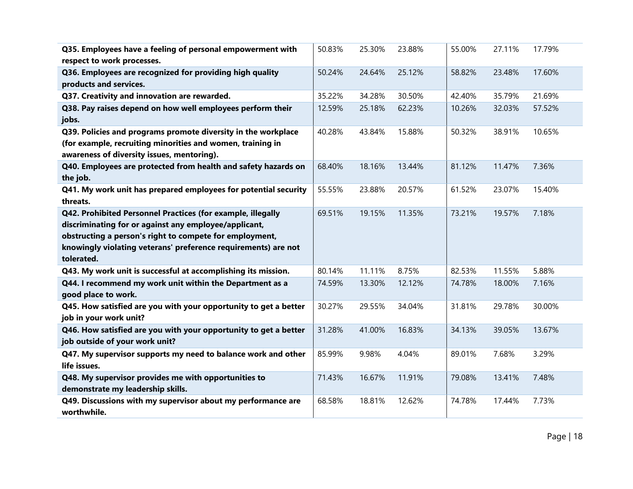| Q35. Employees have a feeling of personal empowerment with       | 50.83% | 25.30% | 23.88% | 55.00% | 27.11% | 17.79% |
|------------------------------------------------------------------|--------|--------|--------|--------|--------|--------|
| respect to work processes.                                       |        |        |        |        |        |        |
| Q36. Employees are recognized for providing high quality         | 50.24% | 24.64% | 25.12% | 58.82% | 23.48% | 17.60% |
| products and services.                                           |        |        |        |        |        |        |
| Q37. Creativity and innovation are rewarded.                     | 35.22% | 34.28% | 30.50% | 42.40% | 35.79% | 21.69% |
| Q38. Pay raises depend on how well employees perform their       | 12.59% | 25.18% | 62.23% | 10.26% | 32.03% | 57.52% |
| jobs.                                                            |        |        |        |        |        |        |
| Q39. Policies and programs promote diversity in the workplace    | 40.28% | 43.84% | 15.88% | 50.32% | 38.91% | 10.65% |
| (for example, recruiting minorities and women, training in       |        |        |        |        |        |        |
| awareness of diversity issues, mentoring).                       |        |        |        |        |        |        |
| Q40. Employees are protected from health and safety hazards on   | 68.40% | 18.16% | 13.44% | 81.12% | 11.47% | 7.36%  |
| the job.                                                         |        |        |        |        |        |        |
| Q41. My work unit has prepared employees for potential security  | 55.55% | 23.88% | 20.57% | 61.52% | 23.07% | 15.40% |
| threats.                                                         |        |        |        |        |        |        |
| Q42. Prohibited Personnel Practices (for example, illegally      | 69.51% | 19.15% | 11.35% | 73.21% | 19.57% | 7.18%  |
| discriminating for or against any employee/applicant,            |        |        |        |        |        |        |
| obstructing a person's right to compete for employment,          |        |        |        |        |        |        |
| knowingly violating veterans' preference requirements) are not   |        |        |        |        |        |        |
| tolerated.                                                       |        |        |        |        |        |        |
| Q43. My work unit is successful at accomplishing its mission.    | 80.14% | 11.11% | 8.75%  | 82.53% | 11.55% | 5.88%  |
| Q44. I recommend my work unit within the Department as a         | 74.59% | 13.30% | 12.12% | 74.78% | 18.00% | 7.16%  |
| good place to work.                                              |        |        |        |        |        |        |
| Q45. How satisfied are you with your opportunity to get a better | 30.27% | 29.55% | 34.04% | 31.81% | 29.78% | 30.00% |
| job in your work unit?                                           |        |        |        |        |        |        |
| Q46. How satisfied are you with your opportunity to get a better | 31.28% | 41.00% | 16.83% | 34.13% | 39.05% | 13.67% |
| job outside of your work unit?                                   |        |        |        |        |        |        |
| Q47. My supervisor supports my need to balance work and other    | 85.99% | 9.98%  | 4.04%  | 89.01% | 7.68%  | 3.29%  |
| life issues.                                                     |        |        |        |        |        |        |
| Q48. My supervisor provides me with opportunities to             | 71.43% | 16.67% | 11.91% | 79.08% | 13.41% | 7.48%  |
| demonstrate my leadership skills.                                |        |        |        |        |        |        |
| Q49. Discussions with my supervisor about my performance are     | 68.58% | 18.81% | 12.62% | 74.78% | 17.44% | 7.73%  |
| worthwhile.                                                      |        |        |        |        |        |        |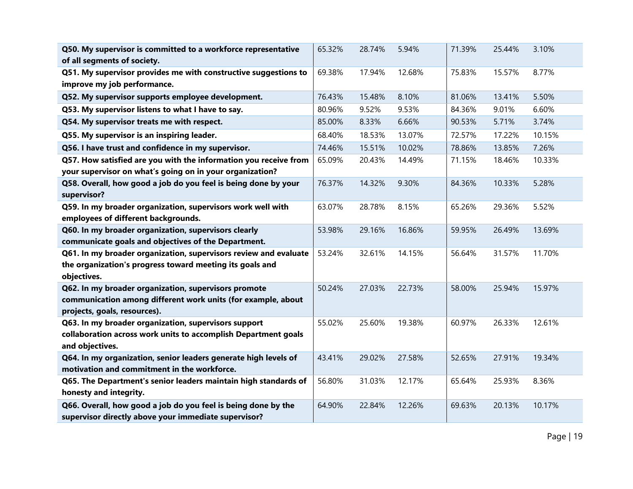| Q50. My supervisor is committed to a workforce representative    | 65.32% | 28.74% | 5.94%  | 71.39% | 25.44% | 3.10%  |
|------------------------------------------------------------------|--------|--------|--------|--------|--------|--------|
| of all segments of society.                                      |        |        |        |        |        |        |
| Q51. My supervisor provides me with constructive suggestions to  | 69.38% | 17.94% | 12.68% | 75.83% | 15.57% | 8.77%  |
| improve my job performance.                                      |        |        |        |        |        |        |
| Q52. My supervisor supports employee development.                | 76.43% | 15.48% | 8.10%  | 81.06% | 13.41% | 5.50%  |
| Q53. My supervisor listens to what I have to say.                | 80.96% | 9.52%  | 9.53%  | 84.36% | 9.01%  | 6.60%  |
| Q54. My supervisor treats me with respect.                       | 85.00% | 8.33%  | 6.66%  | 90.53% | 5.71%  | 3.74%  |
| Q55. My supervisor is an inspiring leader.                       | 68.40% | 18.53% | 13.07% | 72.57% | 17.22% | 10.15% |
| Q56. I have trust and confidence in my supervisor.               | 74.46% | 15.51% | 10.02% | 78.86% | 13.85% | 7.26%  |
| Q57. How satisfied are you with the information you receive from | 65.09% | 20.43% | 14.49% | 71.15% | 18.46% | 10.33% |
| your supervisor on what's going on in your organization?         |        |        |        |        |        |        |
| Q58. Overall, how good a job do you feel is being done by your   | 76.37% | 14.32% | 9.30%  | 84.36% | 10.33% | 5.28%  |
| supervisor?                                                      |        |        |        |        |        |        |
| Q59. In my broader organization, supervisors work well with      | 63.07% | 28.78% | 8.15%  | 65.26% | 29.36% | 5.52%  |
| employees of different backgrounds.                              |        |        |        |        |        |        |
| Q60. In my broader organization, supervisors clearly             | 53.98% | 29.16% | 16.86% | 59.95% | 26.49% | 13.69% |
| communicate goals and objectives of the Department.              |        |        |        |        |        |        |
| Q61. In my broader organization, supervisors review and evaluate | 53.24% | 32.61% | 14.15% | 56.64% | 31.57% | 11.70% |
| the organization's progress toward meeting its goals and         |        |        |        |        |        |        |
| objectives.                                                      |        |        |        |        |        |        |
| Q62. In my broader organization, supervisors promote             | 50.24% | 27.03% | 22.73% | 58.00% | 25.94% | 15.97% |
| communication among different work units (for example, about     |        |        |        |        |        |        |
| projects, goals, resources).                                     |        |        |        |        |        |        |
| Q63. In my broader organization, supervisors support             | 55.02% | 25.60% | 19.38% | 60.97% | 26.33% | 12.61% |
| collaboration across work units to accomplish Department goals   |        |        |        |        |        |        |
| and objectives.                                                  |        |        |        |        |        |        |
| Q64. In my organization, senior leaders generate high levels of  | 43.41% | 29.02% | 27.58% | 52.65% | 27.91% | 19.34% |
| motivation and commitment in the workforce.                      |        |        |        |        |        |        |
| Q65. The Department's senior leaders maintain high standards of  | 56.80% | 31.03% | 12.17% | 65.64% | 25.93% | 8.36%  |
| honesty and integrity.                                           |        |        |        |        |        |        |
| Q66. Overall, how good a job do you feel is being done by the    | 64.90% | 22.84% | 12.26% | 69.63% | 20.13% | 10.17% |
| supervisor directly above your immediate supervisor?             |        |        |        |        |        |        |